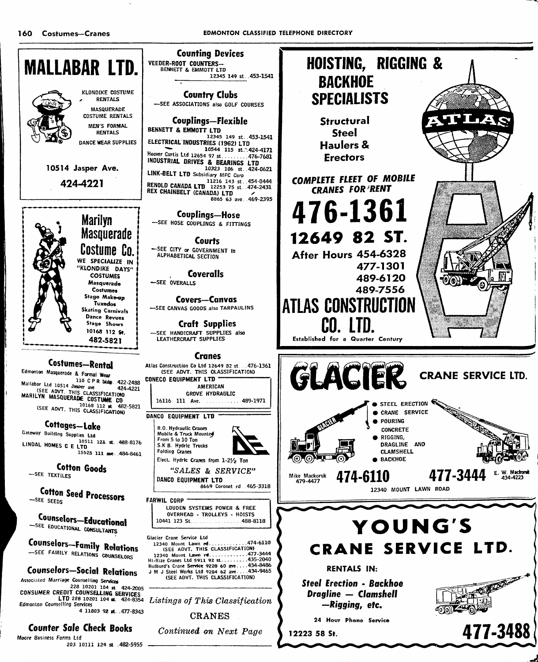160 Costumes-Cranes

-SEE TEXTILES

-SEE SEEDS



**RANCE** 

Machand

434-4223

**BEAM** 

477-3488

E.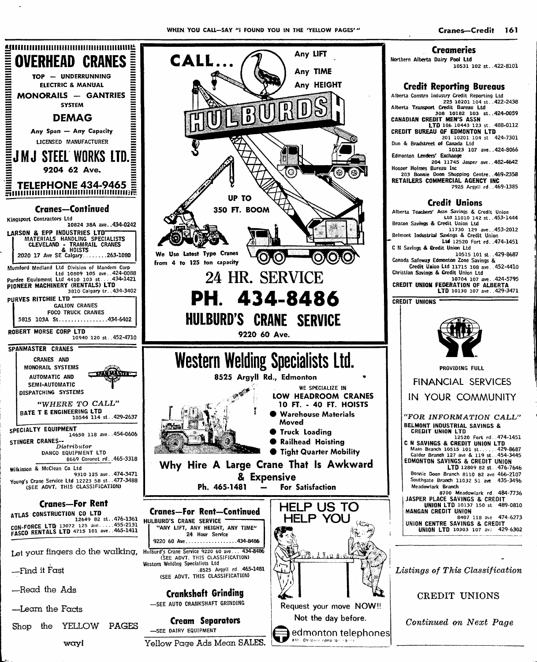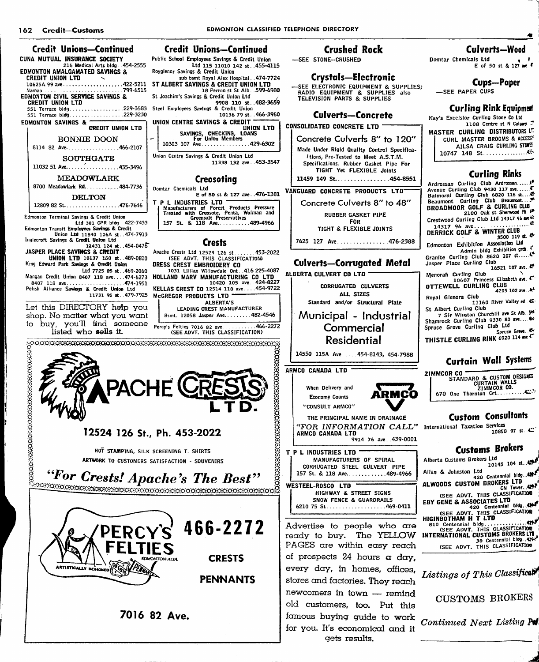

7016 82 Ave.

## **Crushed Rock**

-SEE STONE--CRUSHED

**Crystals-Electronic** 

SEE ELECTRONIC EQUIPMENT & SUPPLIES; RADIO EQUIPMENT & SUPPLIES also<br>TELEVISION PARTS & SUPPLIES

#### **Culverts-Concrete**

**CONSOLIDATED CONCRETE LTD -**

Concrete Culverts 8" to 120" Made Under Rigid Quality Control Specifica-/tions, Pre-Tested to Meet A.S.T.M. Specifications, Rubber Gasket Pipe For TIGHT Yet FLEXIBLE Joints

11459 149 St. . . . . . . . . . . . . . . 454-8551

VANGUARD CONCRETE PRODUCTS LTD Concrete Culverts 8" to 48" **RUBBER GASKET PIPE** FOR TIGHT & FLEXIBLE JOINTS

7625 127 Ave...............476-2388

#### **Culverts-Corrugated Metal**

ALBERTA CULVERT CO LTD CORRUGATED CULVERTS ALL SIZES Standard and/or Structural Plate

> Municipal - Industrial Commercial Residential

14550 115A Ave.....454-8143, 454-7988

ARMCO CANADA LTD

466-2272

When Delivery and **Economy Counts** "CONSULT ARMCO"

THE PRINCIPAL NAME IN DRAINAGE "FOR INFORMATION CALL" International Taxation Services ARMCO CANADA LTD 9914 76 ave. 439-0001

in Cu

T P L INDUSTRIES LTD MANUFACTURERS OF SPIRAL CORRUGATED STEEL CULVERT PIPE 157 St. & 118 Ave............489-4966



Advertise to people who are ready to buy. The YELLOW PAGES are within easy reach of prospects 24 hours a day, every day, in homes, offices, stores and factories. They reach newcomers in town - remind old customers, too. Put this famous buying guide to work for you. It's economical and it gets results.

### **Culverts-Wood**

Domtar Chemicals Ltd  $E$  of 50 st & 127 am<sup>6</sup>

**Cups-Paper** 

-SEE PAPER CUPS

#### **Curling Rink Equipmed**

Kay's Excelsior Curling Stone Co Ltd

1108 Centre st N Calgary MASTER CURLING DISTRIBUTORS LT. CURL MASTER BROOMS & ACCESSY AILSA CRAIG CURLING STORES

## **Curling Rinks**

Ardrossan Curling Club Ardrossan....... 2100 Oak st Sherwood Pt.

Crestwood Curling Club Ltd 14317 96 am 48 

Edmonton Exhibition Association Ltd

Admin bldg Exhibition gram<br>Granite Curling Club 8620 107 st...... Jasper Place Curling Club 16521 107 ave.

Menorah Curling Club DITTEWELL CURLING CLUB CONTREWELL CURLING CLUB

4205 102 ave... k Royal Glenora Club 11160 River Valley rd. &

St Albert Curling Club

7 Sir Winston Churchill ave St Alb. 5th<br>Shamrock Curling Club 9330 80 ave....4th Spruce Grove Curling Club Ltd Spruce Greve. At-

THISTLE CURLING RINK 6920 114 ave C

# **Curtain Wall Systems**

ZIMMCOR CO 

# **Custom Consultants**

10858 97 st. 4

# **Customs Brokers**

Alberta Customs Brokers Ltd 10145 104 st..429 Allan & Johnston Ltd ALWOODS CUSTOM BROKERS LTD CN TOWER CLASSIFICATION Solutions business Library<br>30 Centennial bldg. 4222<br>Solutions CLASSIFICATION

Listings of This Classificati

**CUSTOMS BROKERS** 

Continued Next Listing Po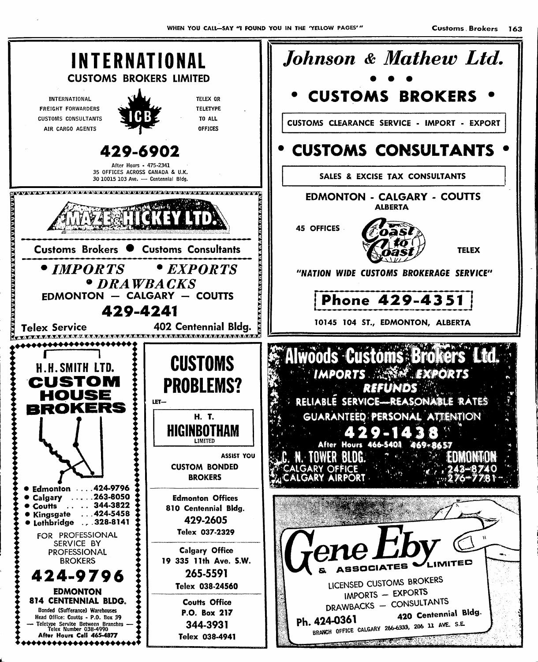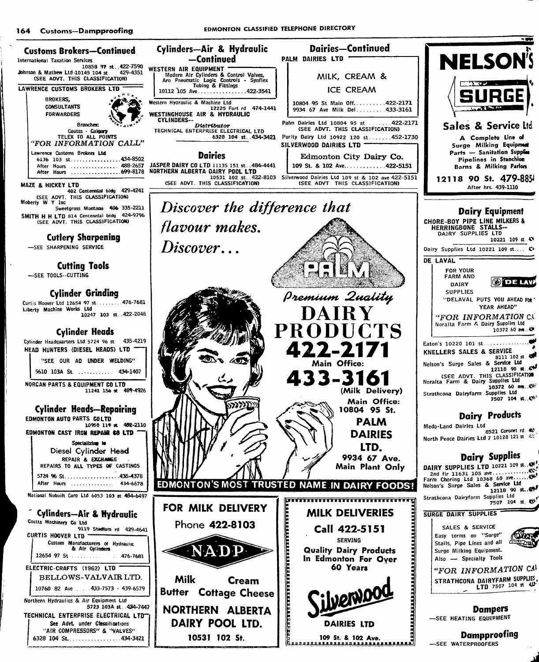